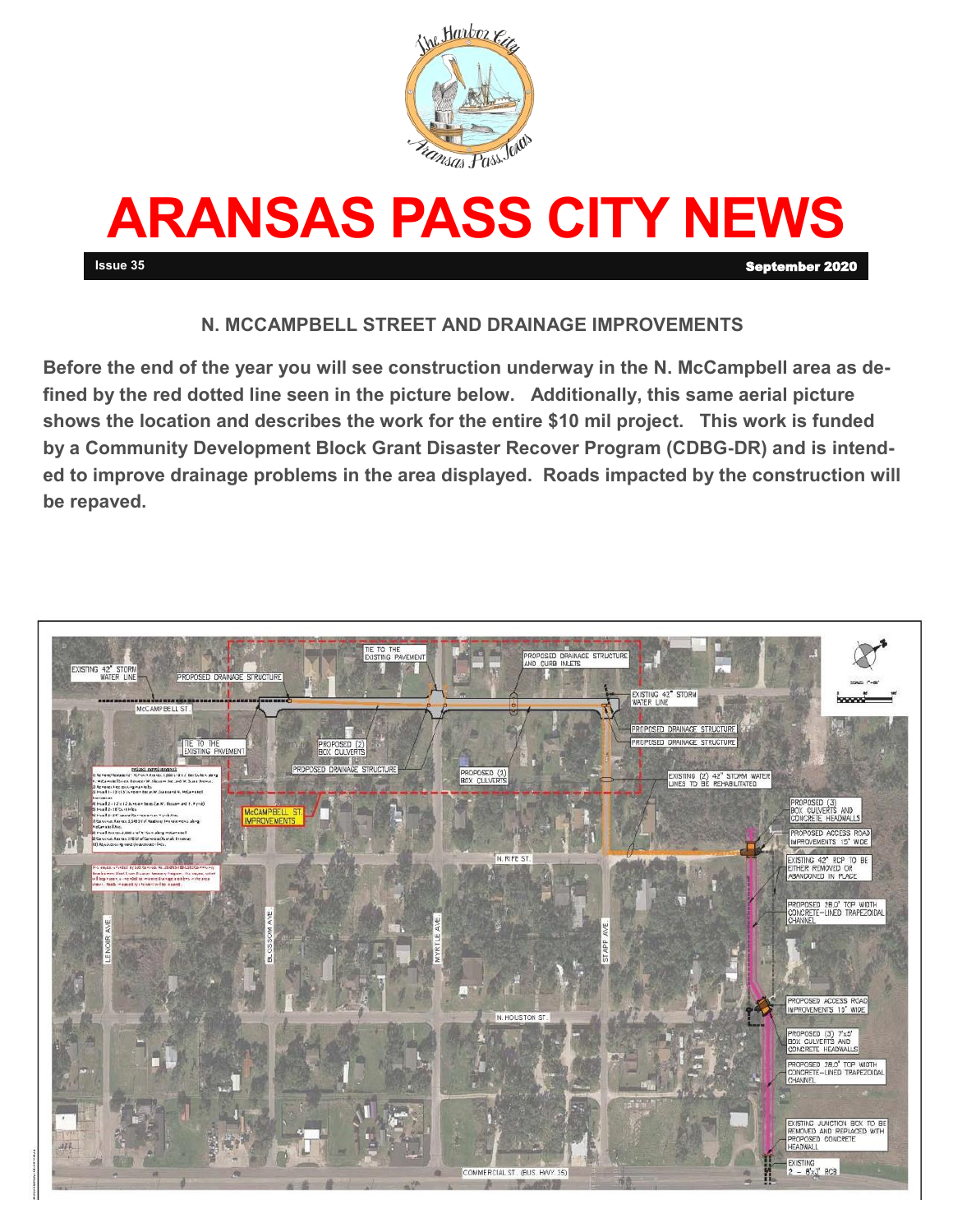



## **N. MCCAMPBELL STREET AND DRAINAGE IMPROVEMENTS**

**Before the end of the year you will see construction underway in the N. McCampbell area as defined by the red dotted line seen in the picture below. Additionally, this same aerial picture shows the location and describes the work for the entire \$10 mil project. This work is funded by a Community Development Block Grant Disaster Recover Program (CDBG-DR) and is intended to improve drainage problems in the area displayed. Roads impacted by the construction will be repaved.** 

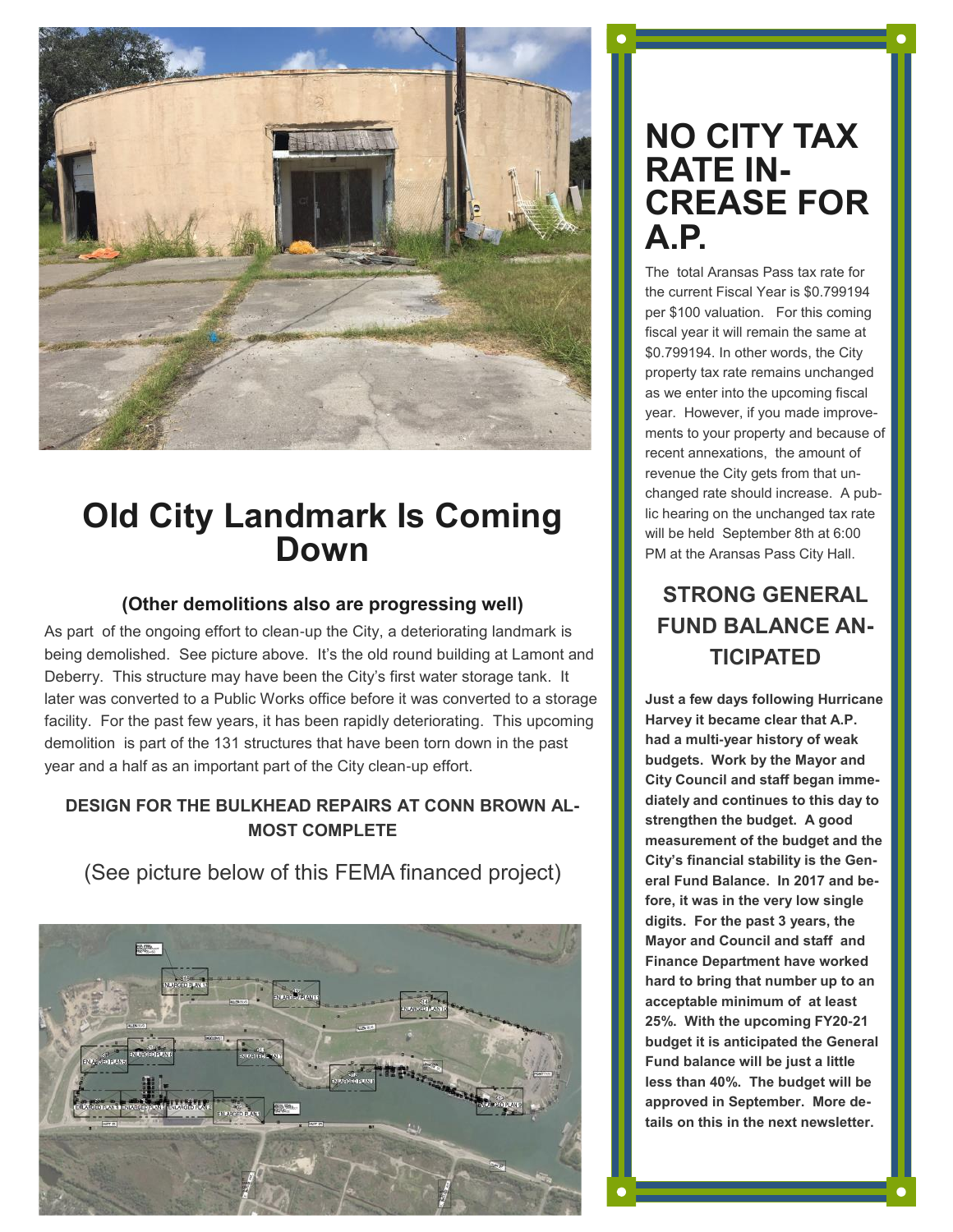

# **Old City Landmark Is Coming Down**

### **(Other demolitions also are progressing well)**

As part of the ongoing effort to clean-up the City, a deteriorating landmark is being demolished. See picture above. It's the old round building at Lamont and Deberry. This structure may have been the City's first water storage tank. It later was converted to a Public Works office before it was converted to a storage facility. For the past few years, it has been rapidly deteriorating. This upcoming demolition is part of the 131 structures that have been torn down in the past year and a half as an important part of the City clean-up effort.

### **DESIGN FOR THE BULKHEAD REPAIRS AT CONN BROWN AL-MOST COMPLETE**

(See picture below of this FEMA financed project)



# **NO CITY TAX RATE IN-CREASE FOR A.P.**

The total Aransas Pass tax rate for the current Fiscal Year is \$0.799194 per \$100 valuation. For this coming fiscal year it will remain the same at \$0.799194. In other words, the City property tax rate remains unchanged as we enter into the upcoming fiscal year. However, if you made improvements to your property and because of recent annexations, the amount of revenue the City gets from that unchanged rate should increase. A public hearing on the unchanged tax rate will be held September 8th at 6:00 PM at the Aransas Pass City Hall.

## **STRONG GENERAL FUND BALANCE AN-TICIPATED**

**Just a few days following Hurricane Harvey it became clear that A.P. had a multi-year history of weak budgets. Work by the Mayor and City Council and staff began immediately and continues to this day to strengthen the budget. A good measurement of the budget and the City's financial stability is the General Fund Balance. In 2017 and before, it was in the very low single digits. For the past 3 years, the Mayor and Council and staff and Finance Department have worked hard to bring that number up to an acceptable minimum of at least 25%. With the upcoming FY20-21 budget it is anticipated the General Fund balance will be just a little less than 40%. The budget will be approved in September. More details on this in the next newsletter.**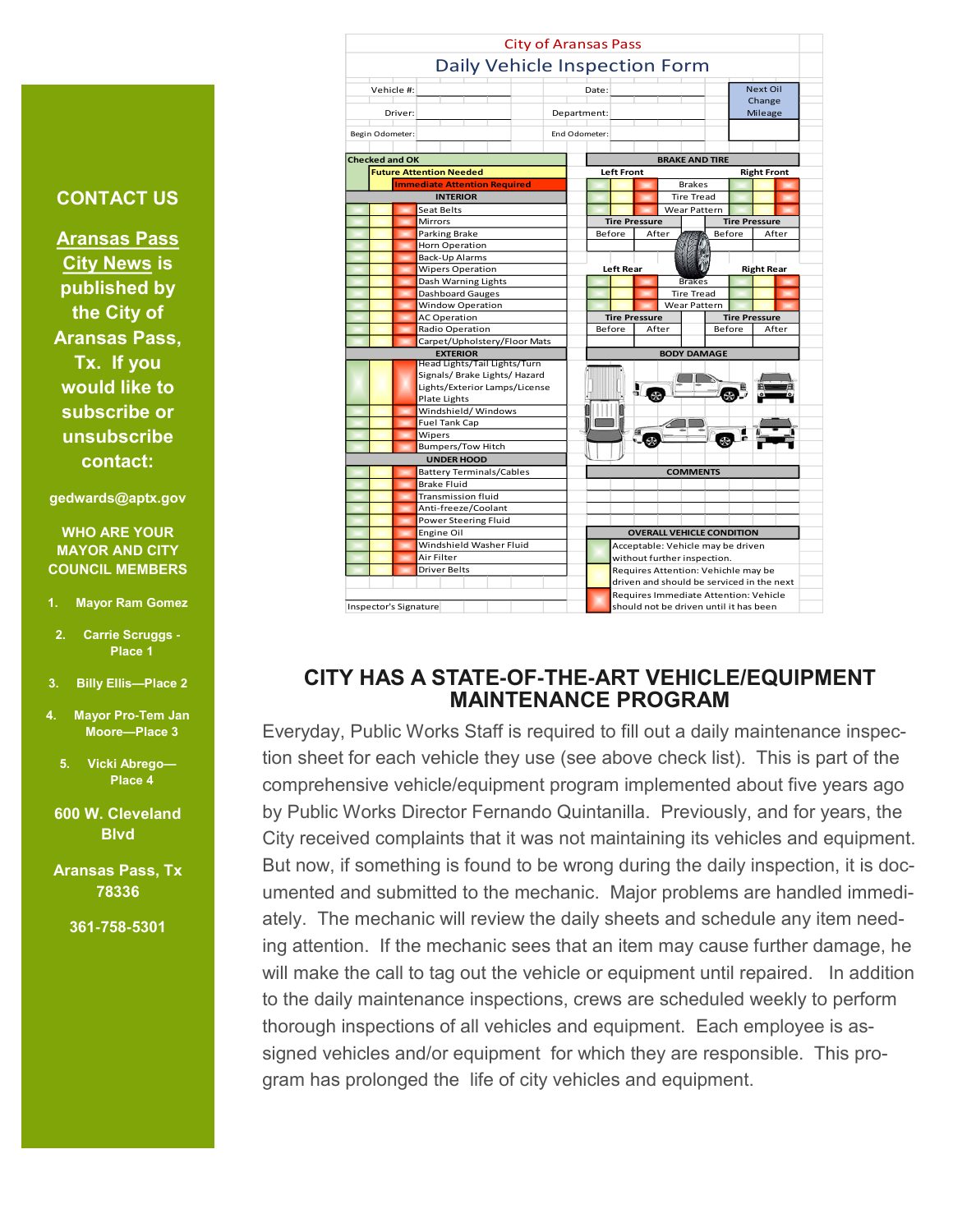#### Driver: Begin Odometer: End Odometer: **Checked and OK Future Attention Needed Immediate Attention Required INTERIOR** eat Belts Mirrors Parking Brake Horn Operation Back-Up Alarms Wipers Operation Dash Warning Lights Carpet/Upholstery/Floor Mats **EXTERIOR** Bumpers/Tow Hitch Dashboard Gauges AC Operation Radio Operation Window Operation Head Lights/Tail Lights/Turn Signals/ Brake Lights/ Hazard Lights/Exterior Lamps/License Plate Lights **UNDER HOOD** Battery Terminals/Cables Brake Fluid Windshield/ Windows Fuel Tank Cap Wipers



City of Aransas Pass

## **CITY HAS A STATE-OF-THE-ART VEHICLE/EQUIPMENT MAINTENANCE PROGRAM**

Everyday, Public Works Staff is required to fill out a daily maintenance inspection sheet for each vehicle they use (see above check list). This is part of the comprehensive vehicle/equipment program implemented about five years ago by Public Works Director Fernando Quintanilla. Previously, and for years, the City received complaints that it was not maintaining its vehicles and equipment. But now, if something is found to be wrong during the daily inspection, it is documented and submitted to the mechanic. Major problems are handled immediately. The mechanic will review the daily sheets and schedule any item needing attention. If the mechanic sees that an item may cause further damage, he will make the call to tag out the vehicle or equipment until repaired. In addition to the daily maintenance inspections, crews are scheduled weekly to perform thorough inspections of all vehicles and equipment. Each employee is assigned vehicles and/or equipment for which they are responsible. This program has prolonged the life of city vehicles and equipment.

## **CONTACT US**

**Aransas Pass City News is published by the City of Aransas Pass, Tx. If you would like to subscribe or unsubscribe contact:** 

#### **gedwards@aptx.gov**

#### **WHO ARE YOUR MAYOR AND CITY COUNCIL MEMBERS**

- **1. Mayor Ram Gomez**
- **2. Carrie Scruggs - Place 1**
- **3. Billy Ellis—Place 2**
- **4. Mayor Pro-Tem Jan Moore—Place 3**
- **5. Vicki Abrego— Place 4**
- **600 W. Cleveland Blvd**
- **Aransas Pass, Tx 78336** 
	- **361-758-5301**